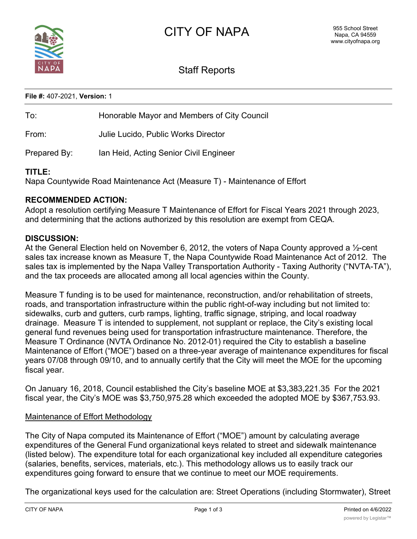

# Staff Reports

**File #:** 407-2021, **Version:** 1

| To:          | Honorable Mayor and Members of City Council |
|--------------|---------------------------------------------|
| From:        | Julie Lucido, Public Works Director         |
| Prepared By: | Ian Heid, Acting Senior Civil Engineer      |

## **TITLE:**

Napa Countywide Road Maintenance Act (Measure T) - Maintenance of Effort

# **RECOMMENDED ACTION:**

Adopt a resolution certifying Measure T Maintenance of Effort for Fiscal Years 2021 through 2023, and determining that the actions authorized by this resolution are exempt from CEQA.

#### **DISCUSSION:**

At the General Election held on November 6, 2012, the voters of Napa County approved a 1/2-cent sales tax increase known as Measure T, the Napa Countywide Road Maintenance Act of 2012. The sales tax is implemented by the Napa Valley Transportation Authority - Taxing Authority ("NVTA-TA"), and the tax proceeds are allocated among all local agencies within the County.

Measure T funding is to be used for maintenance, reconstruction, and/or rehabilitation of streets, roads, and transportation infrastructure within the public right-of-way including but not limited to: sidewalks, curb and gutters, curb ramps, lighting, traffic signage, striping, and local roadway drainage. Measure T is intended to supplement, not supplant or replace, the City's existing local general fund revenues being used for transportation infrastructure maintenance. Therefore, the Measure T Ordinance (NVTA Ordinance No. 2012-01) required the City to establish a baseline Maintenance of Effort ("MOE") based on a three-year average of maintenance expenditures for fiscal years 07/08 through 09/10, and to annually certify that the City will meet the MOE for the upcoming fiscal year.

On January 16, 2018, Council established the City's baseline MOE at \$3,383,221.35 For the 2021 fiscal year, the City's MOE was \$3,750,975.28 which exceeded the adopted MOE by \$367,753.93.

## Maintenance of Effort Methodology

The City of Napa computed its Maintenance of Effort ("MOE") amount by calculating average expenditures of the General Fund organizational keys related to street and sidewalk maintenance (listed below). The expenditure total for each organizational key included all expenditure categories (salaries, benefits, services, materials, etc.). This methodology allows us to easily track our expenditures going forward to ensure that we continue to meet our MOE requirements.

The organizational keys used for the calculation are: Street Operations (including Stormwater), Street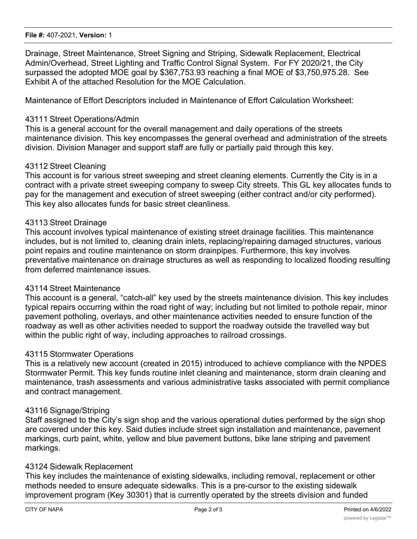Drainage, Street Maintenance, Street Signing and Striping, Sidewalk Replacement, Electrical Admin/Overhead, Street Lighting and Traffic Control Signal System. For FY 2020/21, the City surpassed the adopted MOE goal by \$367,753.93 reaching a final MOE of \$3,750,975.28. See Exhibit A of the attached Resolution for the MOE Calculation.

Maintenance of Effort Descriptors included in Maintenance of Effort Calculation Worksheet:

#### 43111 Street Operations/Admin

This is a general account for the overall management and daily operations of the streets maintenance division. This key encompasses the general overhead and administration of the streets division. Division Manager and support staff are fully or partially paid through this key.

#### 43112 Street Cleaning

This account is for various street sweeping and street cleaning elements. Currently the City is in a contract with a private street sweeping company to sweep City streets. This GL key allocates funds to pay for the management and execution of street sweeping (either contract and/or city performed). This key also allocates funds for basic street cleanliness.

#### 43113 Street Drainage

This account involves typical maintenance of existing street drainage facilities. This maintenance includes, but is not limited to, cleaning drain inlets, replacing/repairing damaged structures, various point repairs and routine maintenance on storm drainpipes. Furthermore, this key involves preventative maintenance on drainage structures as well as responding to localized flooding resulting from deferred maintenance issues.

#### 43114 Street Maintenance

This account is a general, "catch-all" key used by the streets maintenance division. This key includes typical repairs occurring within the road right of way; including but not limited to pothole repair, minor pavement potholing, overlays, and other maintenance activities needed to ensure function of the roadway as well as other activities needed to support the roadway outside the travelled way but within the public right of way, including approaches to railroad crossings.

#### 43115 Stormwater Operations

This is a relatively new account (created in 2015) introduced to achieve compliance with the NPDES Stormwater Permit. This key funds routine inlet cleaning and maintenance, storm drain cleaning and maintenance, trash assessments and various administrative tasks associated with permit compliance and contract management.

#### 43116 Signage/Striping

Staff assigned to the City's sign shop and the various operational duties performed by the sign shop are covered under this key. Said duties include street sign installation and maintenance, pavement markings, curb paint, white, yellow and blue pavement buttons, bike lane striping and pavement markings.

#### 43124 Sidewalk Replacement

This key includes the maintenance of existing sidewalks, including removal, replacement or other methods needed to ensure adequate sidewalks. This is a pre-cursor to the existing sidewalk improvement program (Key 30301) that is currently operated by the streets division and funded